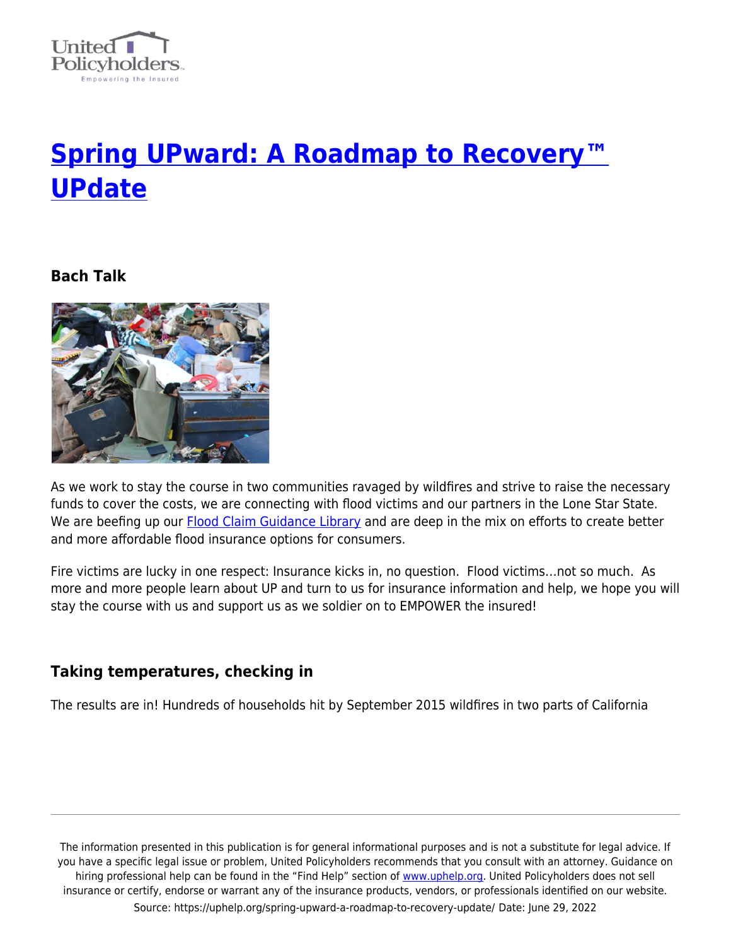

# **[Spring UPward: A Roadmap to Recovery™](https://uphelp.org/spring-upward-a-roadmap-to-recovery-update/) [UPdate](https://uphelp.org/spring-upward-a-roadmap-to-recovery-update/)**

## **Bach Talk**



As we work to stay the course in two communities ravaged by wildfires and strive to raise the necessary funds to cover the costs, we are connecting with flood victims and our partners in the Lone Star State. We are beefing up our **[Flood Claim Guidance Library](https://uphelp.org/claim-guidance-damage/flood/)** and are deep in the mix on efforts to create better and more affordable flood insurance options for consumers.

Fire victims are lucky in one respect: Insurance kicks in, no question. Flood victims…not so much. As more and more people learn about UP and turn to us for insurance information and help, we hope you will stay the course with us and support us as we soldier on to EMPOWER the insured!

## **Taking temperatures, checking in**

The results are in! Hundreds of households hit by September 2015 wildfires in two parts of California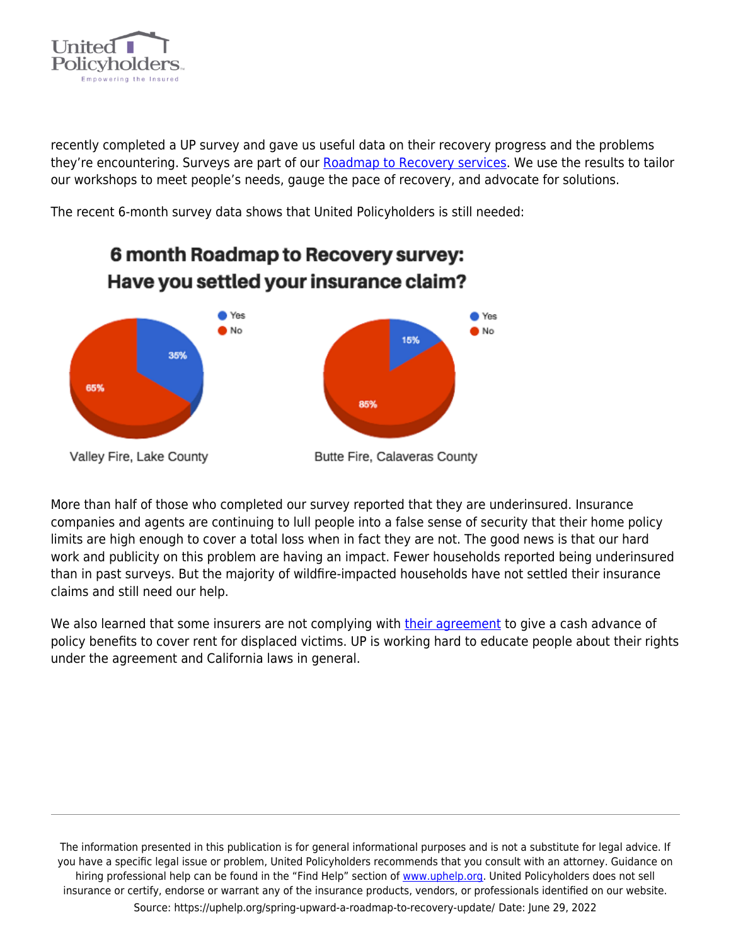

recently completed a UP survey and gave us useful data on their recovery progress and the problems they're encountering. Surveys are part of our [Roadmap to Recovery services](https://uphelp.org/recovery/). We use the results to tailor our workshops to meet people's needs, gauge the pace of recovery, and advocate for solutions.

The recent 6-month survey data shows that United Policyholders is still needed:



6 month Roadmap to Recovery survey:

More than half of those who completed our survey reported that they are underinsured. Insurance companies and agents are continuing to lull people into a false sense of security that their home policy limits are high enough to cover a total loss when in fact they are not. The good news is that our hard work and publicity on this problem are having an impact. Fewer households reported being underinsured than in past surveys. But the majority of wildfire-impacted households have not settled their insurance claims and still need our help.

We also learned that some insurers are not complying with [their agreement](https://uphelp.org/wp-content/uploads/2015/09/voluntary_claim_handling_reforms.pdf) to give a cash advance of policy benefits to cover rent for displaced victims. UP is working hard to educate people about their rights under the agreement and California laws in general.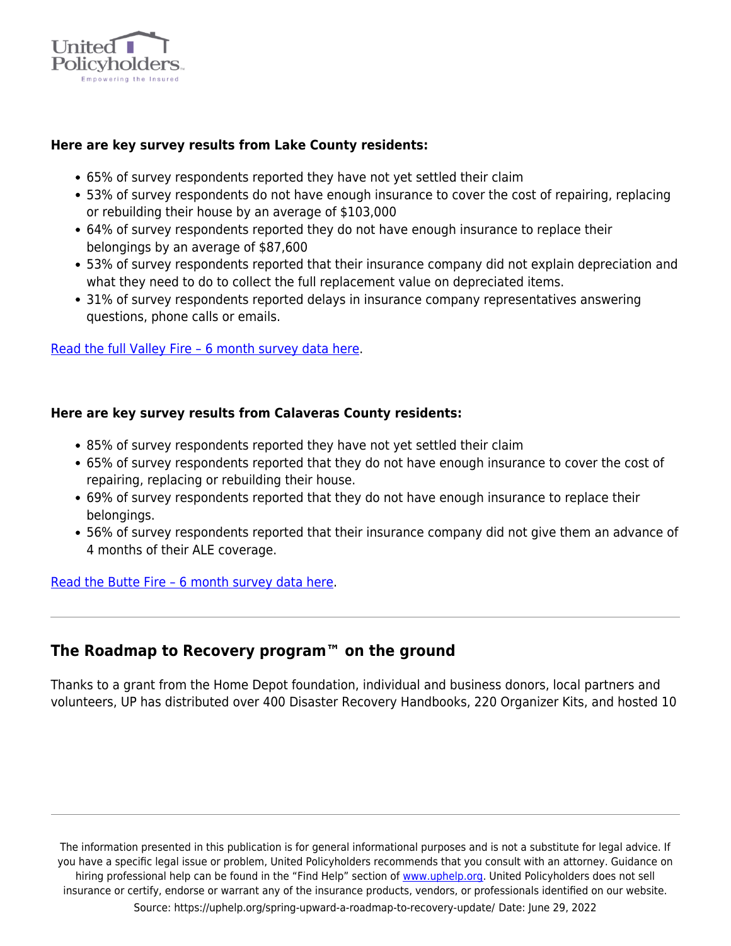

#### **Here are key survey results from Lake County residents:**

- 65% of survey respondents reported they have not yet settled their claim
- 53% of survey respondents do not have enough insurance to cover the cost of repairing, replacing or rebuilding their house by an average of \$103,000
- 64% of survey respondents reported they do not have enough insurance to replace their belongings by an average of \$87,600
- 53% of survey respondents reported that their insurance company did not explain depreciation and what they need to do to collect the full replacement value on depreciated items.
- 31% of survey respondents reported delays in insurance company representatives answering questions, phone calls or emails.

[Read the full Valley Fire – 6 month survey data here](https://uphelp.org/wp-content/uploads/2020/11/valleyfire_6mo_results_0.pdf).

## **Here are key survey results from Calaveras County residents:**

- 85% of survey respondents reported they have not yet settled their claim
- 65% of survey respondents reported that they do not have enough insurance to cover the cost of repairing, replacing or rebuilding their house.
- 69% of survey respondents reported that they do not have enough insurance to replace their belongings.
- 56% of survey respondents reported that their insurance company did not give them an advance of 4 months of their ALE coverage.

#### [Read the Butte Fire – 6 month survey data here](https://uphelp.org/wp-content/uploads/2020/11/buttefire_6mo_results.pdf).

# **The Roadmap to Recovery program™ on the ground**

Thanks to a grant from the Home Depot foundation, individual and business donors, local partners and volunteers, UP has distributed over 400 Disaster Recovery Handbooks, 220 Organizer Kits, and hosted 10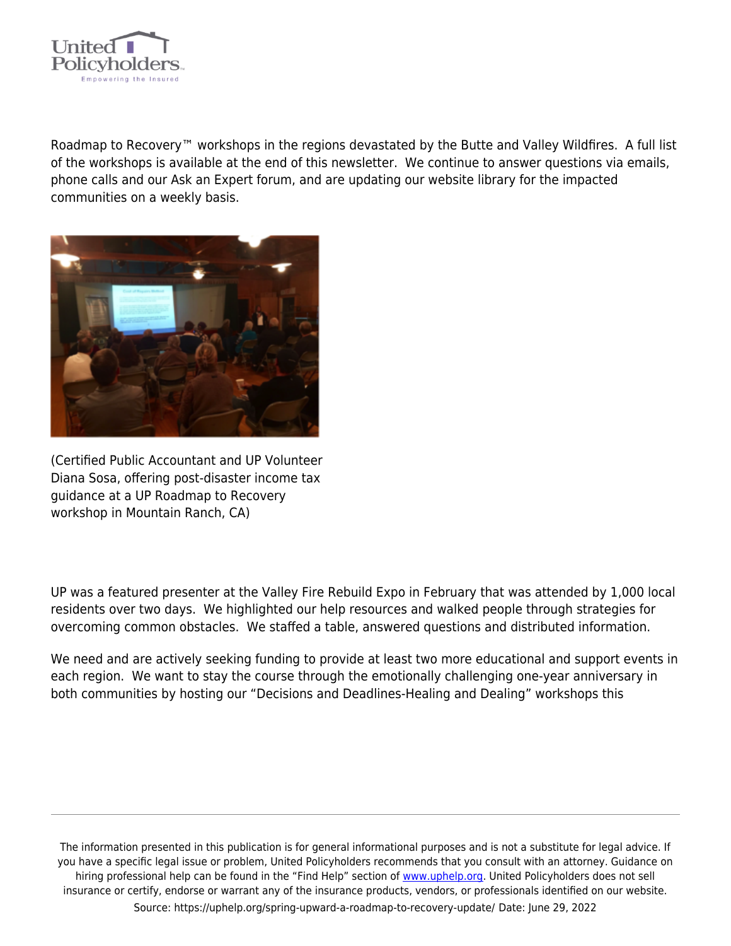

Roadmap to Recovery™ workshops in the regions devastated by the Butte and Valley Wildfires. A full list of the workshops is available at the end of this newsletter. We continue to answer questions via emails, phone calls and our Ask an Expert forum, and are updating our website library for the impacted communities on a weekly basis.



(Certified Public Accountant and UP Volunteer Diana Sosa, offering post-disaster income tax guidance at a UP Roadmap to Recovery workshop in Mountain Ranch, CA)

UP was a featured presenter at the Valley Fire Rebuild Expo in February that was attended by 1,000 local residents over two days. We highlighted our help resources and walked people through strategies for overcoming common obstacles. We staffed a table, answered questions and distributed information.

We need and are actively seeking funding to provide at least two more educational and support events in each region. We want to stay the course through the emotionally challenging one-year anniversary in both communities by hosting our "Decisions and Deadlines-Healing and Dealing" workshops this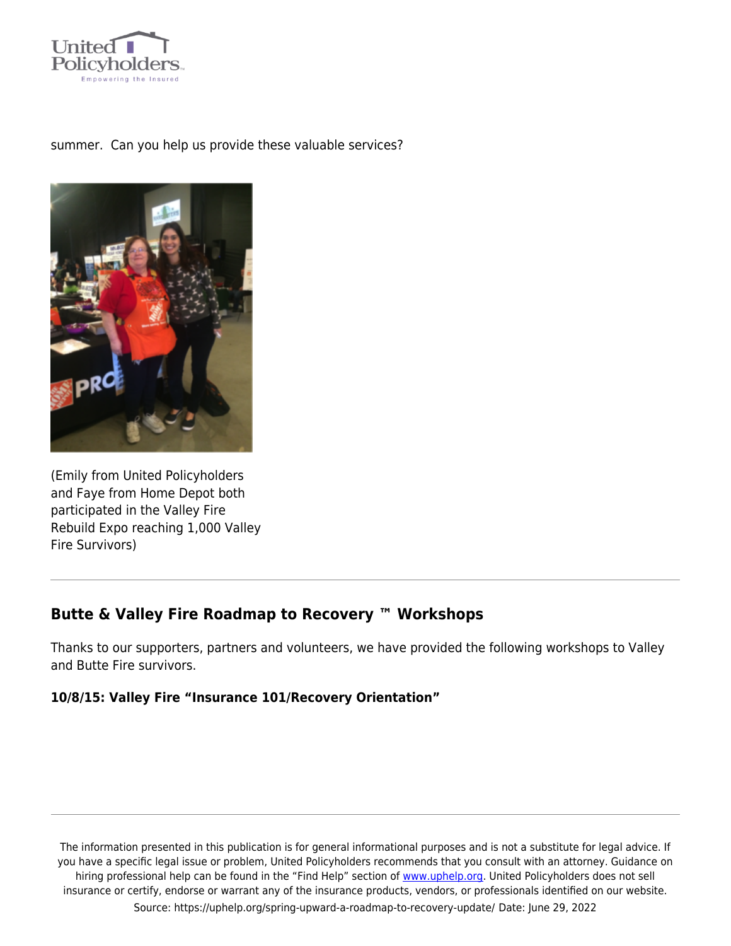

#### summer. Can you help us provide these valuable services?



(Emily from United Policyholders and Faye from Home Depot both participated in the Valley Fire Rebuild Expo reaching 1,000 Valley Fire Survivors)

# **Butte & Valley Fire Roadmap to Recovery ™ Workshops**

Thanks to our supporters, partners and volunteers, we have provided the following workshops to Valley and Butte Fire survivors.

#### **10/8/15: Valley Fire "Insurance 101/Recovery Orientation"**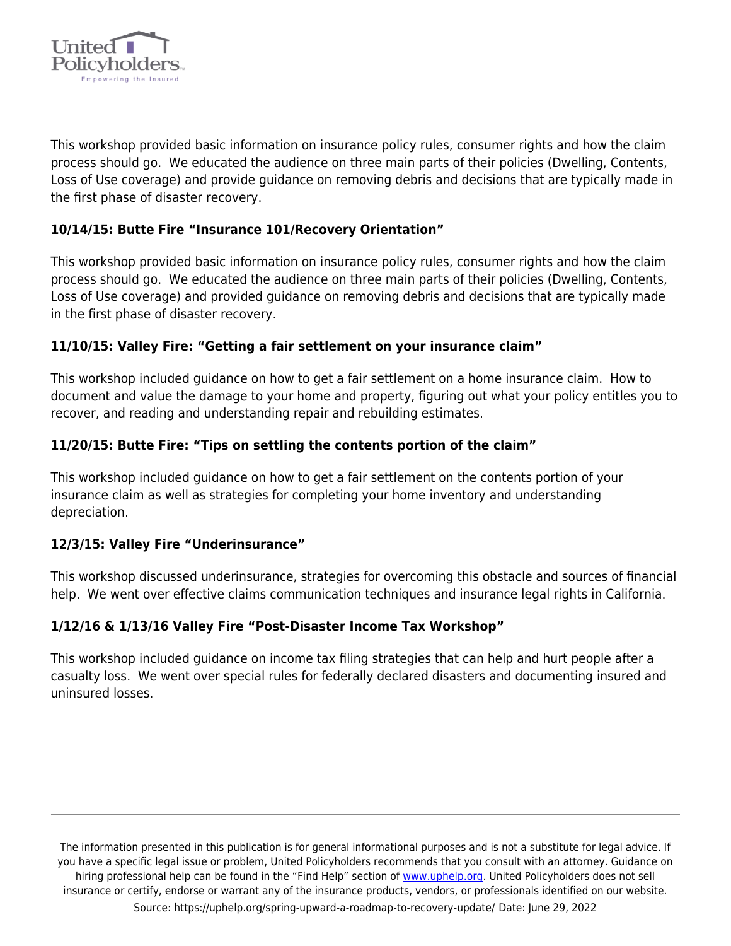

This workshop provided basic information on insurance policy rules, consumer rights and how the claim process should go. We educated the audience on three main parts of their policies (Dwelling, Contents, Loss of Use coverage) and provide guidance on removing debris and decisions that are typically made in the first phase of disaster recovery.

## **10/14/15: Butte Fire "Insurance 101/Recovery Orientation"**

This workshop provided basic information on insurance policy rules, consumer rights and how the claim process should go. We educated the audience on three main parts of their policies (Dwelling, Contents, Loss of Use coverage) and provided guidance on removing debris and decisions that are typically made in the first phase of disaster recovery.

## **11/10/15: Valley Fire: "Getting a fair settlement on your insurance claim"**

This workshop included guidance on how to get a fair settlement on a home insurance claim. How to document and value the damage to your home and property, figuring out what your policy entitles you to recover, and reading and understanding repair and rebuilding estimates.

## **11/20/15: Butte Fire: "Tips on settling the contents portion of the claim"**

This workshop included guidance on how to get a fair settlement on the contents portion of your insurance claim as well as strategies for completing your home inventory and understanding depreciation.

#### **12/3/15: Valley Fire "Underinsurance"**

This workshop discussed underinsurance, strategies for overcoming this obstacle and sources of financial help. We went over effective claims communication techniques and insurance legal rights in California.

## **1/12/16 & 1/13/16 Valley Fire "Post-Disaster Income Tax Workshop"**

This workshop included guidance on income tax filing strategies that can help and hurt people after a casualty loss. We went over special rules for federally declared disasters and documenting insured and uninsured losses.